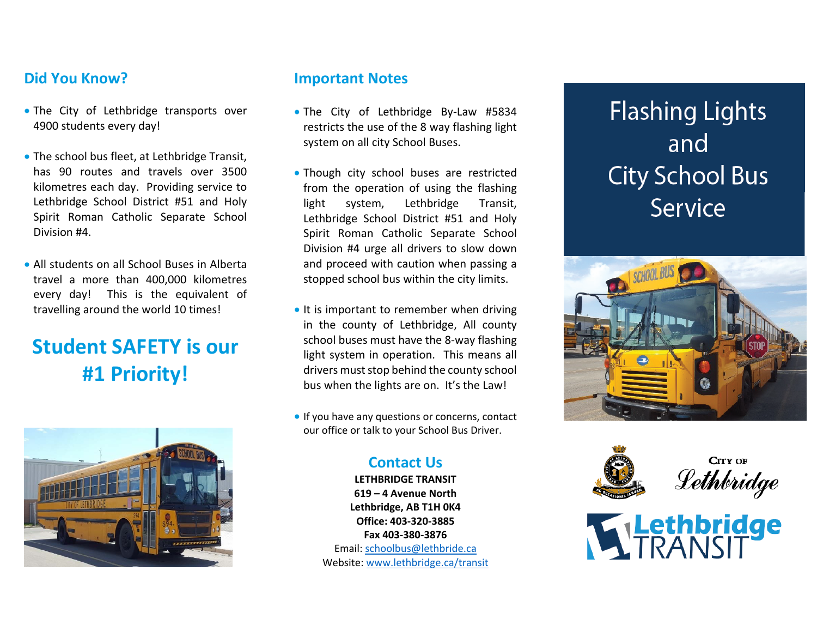# **Did You Know?**

- The City of Lethbridge transports over 4900 students every day!
- **The school bus fleet, at Lethbridge Transit,** has 90 routes and travels over 3500 kilometres each day. Providing service to Lethbridge School District #51 and Holy Spirit Roman Catholic Separate School Division #4.
- All students on all School Buses in Alberta travel a more than 400,000 kilometres every day! This is the equivalent of travelling around the world 10 times!

# **Student SAFETY is our #1 Priority!**



## **Important Notes**

- The City of Lethbridge By‐Law #5834 restricts the use of the 8 way flashing light system on all city School Buses.
- Though city school buses are restricted from the operation of using the flashing light system, Lethbridge Transit, Lethbridge School District #51 and Holy Spirit Roman Catholic Separate School Division #4 urge all drivers to slow down and proceed with caution when passing <sup>a</sup> stopped school bus within the city limits.
- It is important to remember when driving in the county of Lethbridge, All county school buses must have the 8‐way flashing light system in operation. This means all drivers must stop behind the county school bus when the lights are on. It's the Law!
- **If you have any questions or concerns, contact** our office or talk to your School Bus Driver.

# **Contact Us**

**LETHBRIDGE TRANSIT619 – 4 Avenue NorthLethbridge, AB T1H 0K4 Office: 403‐320‐3885Fax 403‐380‐3876**Email: schoolbus@lethbride.ca Website: www.lethbridge.ca/transit

**Flashing Lights** and **City School Bus** Service